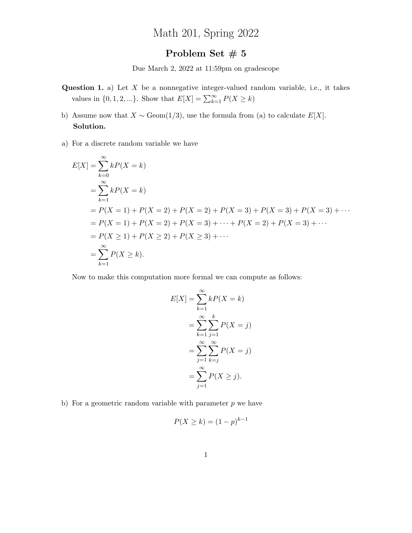## Math 201, Spring 2022

## Problem Set  $\#$  5

Due March 2, 2022 at 11:59pm on gradescope

- **Question 1.** a) Let  $X$  be a nonnegative integer-valued random variable, i.e., it takes values in  $\{0, 1, 2, ...\}$ . Show that  $E[X] = \sum_{k=1}^{\infty} P(X \ge k)$
- b) Assume now that  $X \sim \text{Geom}(1/3)$ , use the formula from (a) to calculate  $E[X]$ . Solution.
- a) For a discrete random variable we have

$$
E[X] = \sum_{k=0}^{\infty} kP(X = k)
$$
  
=  $\sum_{k=1}^{\infty} kP(X = k)$   
=  $P(X = 1) + P(X = 2) + P(X = 2) + P(X = 3) + P(X = 3) + P(X = 3) + \cdots$   
=  $P(X = 1) + P(X = 2) + P(X = 3) + \cdots + P(X = 2) + P(X = 3) + \cdots$   
=  $P(X \ge 1) + P(X \ge 2) + P(X \ge 3) + \cdots$   
=  $\sum_{k=1}^{\infty} P(X \ge k).$ 

Now to make this computation more formal we can compute as follows:

$$
E[X] = \sum_{k=1}^{\infty} kP(X = k)
$$
  
= 
$$
\sum_{k=1}^{\infty} \sum_{j=1}^{k} P(X = j)
$$
  
= 
$$
\sum_{j=1}^{\infty} \sum_{k=j}^{\infty} P(X = j)
$$
  
= 
$$
\sum_{j=1}^{\infty} P(X \ge j).
$$

b) For a geometric random variable with parameter  $p$  we have

$$
P(X \ge k) = (1 - p)^{k-1}
$$